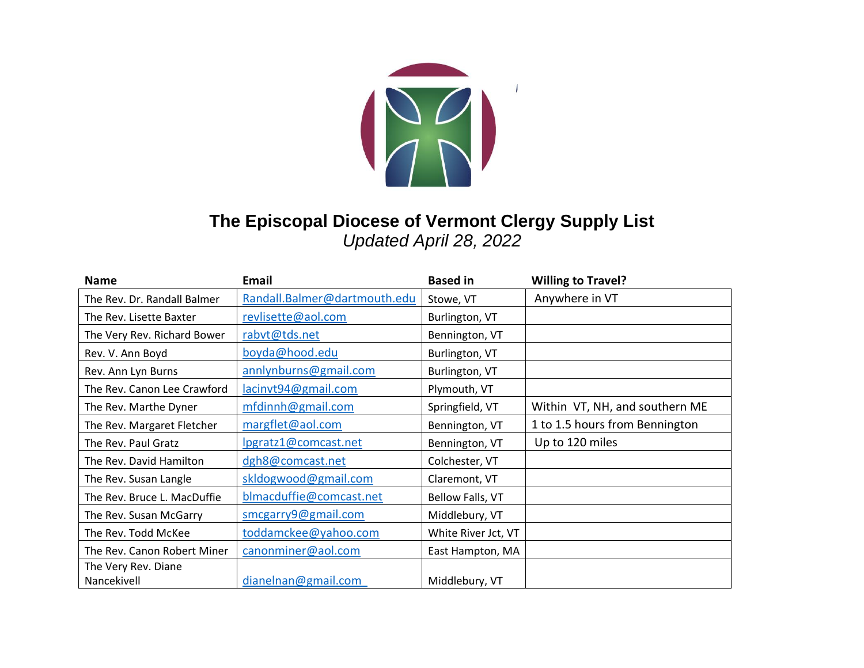

## **The Episcopal Diocese of Vermont Clergy Supply List**  *Updated April 28, 2022*

| <b>Name</b>                 | <b>Email</b>                 | <b>Based in</b>     | <b>Willing to Travel?</b>      |
|-----------------------------|------------------------------|---------------------|--------------------------------|
| The Rev. Dr. Randall Balmer | Randall.Balmer@dartmouth.edu | Stowe, VT           | Anywhere in VT                 |
| The Rev. Lisette Baxter     | revlisette@aol.com           | Burlington, VT      |                                |
| The Very Rev. Richard Bower | rabvt@tds.net                | Bennington, VT      |                                |
| Rev. V. Ann Boyd            | boyda@hood.edu               | Burlington, VT      |                                |
| Rev. Ann Lyn Burns          | annlynburns@gmail.com        | Burlington, VT      |                                |
| The Rev. Canon Lee Crawford | lacinvt94@gmail.com          | Plymouth, VT        |                                |
| The Rev. Marthe Dyner       | mfdinnh@gmail.com            | Springfield, VT     | Within VT, NH, and southern ME |
| The Rev. Margaret Fletcher  | margflet@aol.com             | Bennington, VT      | 1 to 1.5 hours from Bennington |
| The Rev. Paul Gratz         | lpgratz1@comcast.net         | Bennington, VT      | Up to 120 miles                |
| The Rev. David Hamilton     | dgh8@comcast.net             | Colchester, VT      |                                |
| The Rev. Susan Langle       | skldogwood@gmail.com         | Claremont, VT       |                                |
| The Rev. Bruce L. MacDuffie | blmacduffie@comcast.net      | Bellow Falls, VT    |                                |
| The Rev. Susan McGarry      | smcgarry9@gmail.com          | Middlebury, VT      |                                |
| The Rev. Todd McKee         | toddamckee@yahoo.com         | White River Jct, VT |                                |
| The Rev. Canon Robert Miner | canonminer@aol.com           | East Hampton, MA    |                                |
| The Very Rev. Diane         |                              |                     |                                |
| Nancekivell                 | dianelnan@gmail.com          | Middlebury, VT      |                                |